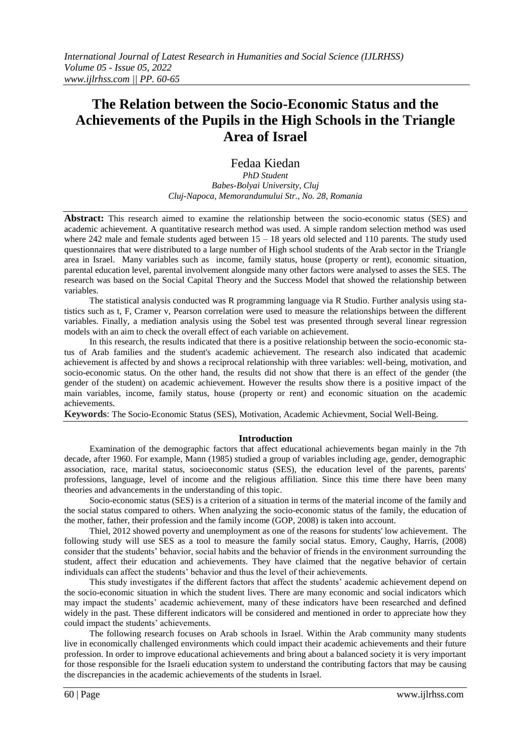# **The Relation between the Socio-Economic Status and the Achievements of the Pupils in the High Schools in the Triangle Area of Israel**

Fedaa Kiedan

*PhD Student Babes-Bolyai University, Cluj Cluj-Napoca, Memorandumului Str., No. 28, Romania*

**Abstract:** This research aimed to examine the relationship between the socio-economic status (SES) and academic achievement. A quantitative research method was used. A simple random selection method was used where 242 male and female students aged between  $15 - 18$  years old selected and 110 parents. The study used questionnaires that were distributed to a large number of High school students of the Arab sector in the Triangle area in Israel. Many variables such as income, family status, house (property or rent), economic situation, parental education level, parental involvement alongside many other factors were analysed to asses the SES. The research was based on the Social Capital Theory and the Success Model that showed the relationship between variables.

The statistical analysis conducted was R programming language via R Studio. Further analysis using statistics such as t, F, Cramer v, Pearson correlation were used to measure the relationships between the different variables. Finally, a mediation analysis using the Sobel test was presented through several linear regression models with an aim to check the overall effect of each variable on achievement.

In this research, the results indicated that there is a positive relationship between the socio-economic status of Arab families and the student's academic achievement. The research also indicated that academic achievement is affected by and shows a reciprocal relationship with three variables: well-being, motivation, and socio-economic status. On the other hand, the results did not show that there is an effect of the gender (the gender of the student) on academic achievement. However the results show there is a positive impact of the main variables, income, family status, house (property or rent) and economic situation on the academic achievements.

**Keywords**: The Socio-Economic Status (SES), Motivation, Academic Achievment, Social Well-Being.

### **Introduction**

Examination of the demographic factors that affect educational achievements began mainly in the 7th decade, after 1960. For example, Mann (1985) studied a group of variables including age, gender, demographic association, race, marital status, socioeconomic status (SES), the education level of the parents, parents' professions, language, level of income and the religious affiliation. Since this time there have been many theories and advancements in the understanding of this topic.

Socio-economic status (SES) is a criterion of a situation in terms of the material income of the family and the social status compared to others. When analyzing the socio-economic status of the family, the education of the mother, father, their profession and the family income (GOP, 2008) is taken into account.

Thiel, 2012 showed poverty and unemployment as one of the reasons for students' low achievement. The following study will use SES as a tool to measure the family social status. Emory, Caughy, Harris, (2008) consider that the students' behavior, social habits and the behavior of friends in the environment surrounding the student, affect their education and achievements. They have claimed that the negative behavior of certain individuals can affect the students' behavior and thus the level of their achievements.

This study investigates if the different factors that affect the students' academic achievement depend on the socio-economic situation in which the student lives. There are many economic and social indicators which may impact the students' academic achievement, many of these indicators have been researched and defined widely in the past. These different indicators will be considered and mentioned in order to appreciate how they could impact the students' achievements.

The following research focuses on Arab schools in Israel. Within the Arab community many students live in economically challenged environments which could impact their academic achievements and their future profession. In order to improve educational achievements and bring about a balanced society it is very important for those responsible for the Israeli education system to understand the contributing factors that may be causing the discrepancies in the academic achievements of the students in Israel.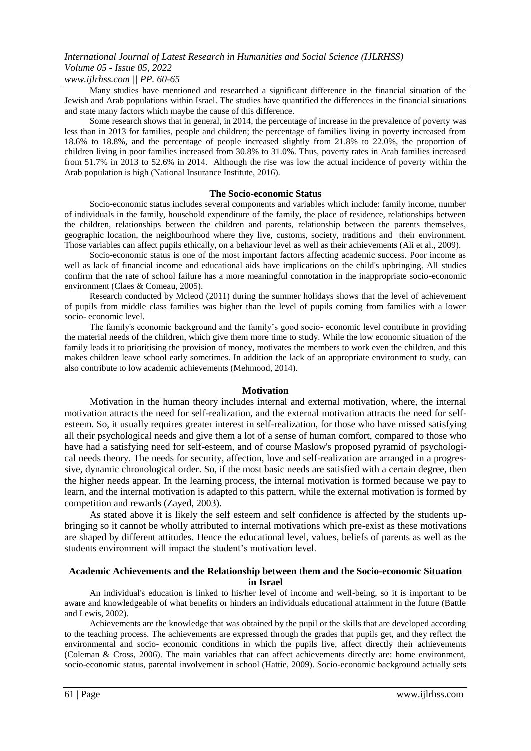### *International Journal of Latest Research in Humanities and Social Science (IJLRHSS) Volume 05 - Issue 05, 2022*

### *www.ijlrhss.com || PP. 60-65*

Many studies have mentioned and researched a significant difference in the financial situation of the Jewish and Arab populations within Israel. The studies have quantified the differences in the financial situations and state many factors which maybe the cause of this difference.

Some research shows that in general, in 2014, the percentage of increase in the prevalence of poverty was less than in 2013 for families, people and children; the percentage of families living in poverty increased from 18.6% to 18.8%, and the percentage of people increased slightly from 21.8% to 22.0%, the proportion of children living in poor families increased from 30.8% to 31.0%. Thus, poverty rates in Arab families increased from 51.7% in 2013 to 52.6% in 2014. Although the rise was low the actual incidence of poverty within the Arab population is high (National Insurance Institute, 2016).

### **The Socio-economic Status**

Socio-economic status includes several components and variables which include: family income, number of individuals in the family, household expenditure of the family, the place of residence, relationships between the children, relationships between the children and parents, relationship between the parents themselves, geographic location, the neighbourhood where they live, customs, society, traditions and their environment. Those variables can affect pupils ethically, on a behaviour level as well as their achievements (Ali et al., 2009).

Socio-economic status is one of the most important factors affecting academic success. Poor income as well as lack of financial income and educational aids have implications on the child's upbringing. All studies confirm that the rate of school failure has a more meaningful connotation in the inappropriate socio-economic environment (Claes & Comeau, 2005).

Research conducted by Mcleod (2011) during the summer holidays shows that the level of achievement of pupils from middle class families was higher than the level of pupils coming from families with a lower socio- economic level.

The family's economic background and the family's good socio- economic level contribute in providing the material needs of the children, which give them more time to study. While the low economic situation of the family leads it to prioritising the provision of money, motivates the members to work even the children, and this makes children leave school early sometimes. In addition the lack of an appropriate environment to study, can also contribute to low academic achievements (Mehmood, 2014).

### **Motivation**

Motivation in the human theory includes internal and external motivation, where, the internal motivation attracts the need for self-realization, and the external motivation attracts the need for selfesteem. So, it usually requires greater interest in self-realization, for those who have missed satisfying all their psychological needs and give them a lot of a sense of human comfort, compared to those who have had a satisfying need for self-esteem, and of course Maslow's proposed pyramid of psychological needs theory. The needs for security, affection, love and self-realization are arranged in a progressive, dynamic chronological order. So, if the most basic needs are satisfied with a certain degree, then the higher needs appear. In the learning process, the internal motivation is formed because we pay to learn, and the internal motivation is adapted to this pattern, while the external motivation is formed by competition and rewards (Zayed, 2003).

As stated above it is likely the self esteem and self confidence is affected by the students upbringing so it cannot be wholly attributed to internal motivations which pre-exist as these motivations are shaped by different attitudes. Hence the educational level, values, beliefs of parents as well as the students environment will impact the student's motivation level.

### **Academic Achievements and the Relationship between them and the Socio-economic Situation in Israel**

An individual's education is linked to his/her level of income and well-being, so it is important to be aware and knowledgeable of what benefits or hinders an individuals educational attainment in the future (Battle and Lewis, 2002).

Achievements are the knowledge that was obtained by the pupil or the skills that are developed according to the teaching process. The achievements are expressed through the grades that pupils get, and they reflect the environmental and socio- economic conditions in which the pupils live, affect directly their achievements (Coleman & Cross, 2006). The main variables that can affect achievements directly are: home environment, socio-economic status, parental involvement in school (Hattie, 2009). Socio-economic background actually sets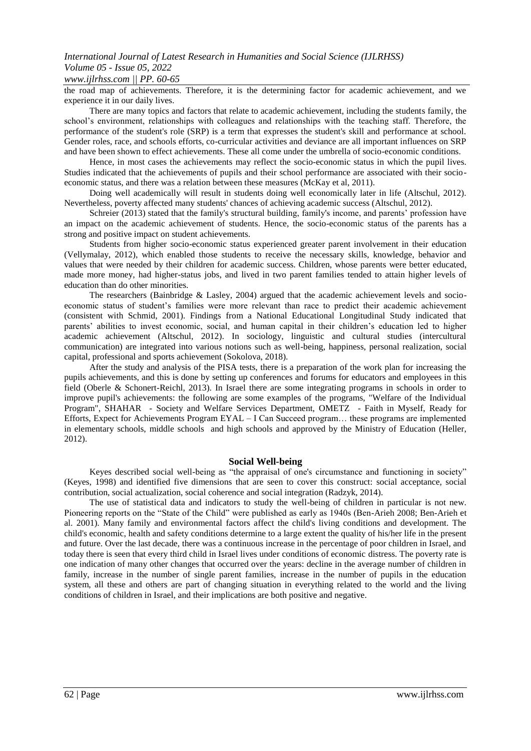### *www.ijlrhss.com || PP. 60-65*

the road map of achievements. Therefore, it is the determining factor for academic achievement, and we experience it in our daily lives.

There are many topics and factors that relate to academic achievement, including the students family, the school's environment, relationships with colleagues and relationships with the teaching staff. Therefore, the performance of the student's role (SRP) is a term that expresses the student's skill and performance at school. Gender roles, race, and schools efforts, co-curricular activities and deviance are all important influences on SRP and have been shown to effect achievements. These all come under the umbrella of socio-economic conditions.

Hence, in most cases the achievements may reflect the socio-economic status in which the pupil lives. Studies indicated that the achievements of pupils and their school performance are associated with their socioeconomic status, and there was a relation between these measures (McKay et al, 2011).

Doing well academically will result in students doing well economically later in life (Altschul, 2012). Nevertheless, poverty affected many students' chances of achieving academic success (Altschul, 2012).

Schreier (2013) stated that the family's structural building, family's income, and parents' profession have an impact on the academic achievement of students. Hence, the socio-economic status of the parents has a strong and positive impact on student achievements.

Students from higher socio-economic status experienced greater parent involvement in their education (Vellymalay, 2012), which enabled those students to receive the necessary skills, knowledge, behavior and values that were needed by their children for academic success. Children, whose parents were better educated, made more money, had higher-status jobs, and lived in two parent families tended to attain higher levels of education than do other minorities.

The researchers (Bainbridge & Lasley, 2004) argued that the academic achievement levels and socioeconomic status of student's families were more relevant than race to predict their academic achievement (consistent with Schmid, 2001). Findings from a National Educational Longitudinal Study indicated that parents' abilities to invest economic, social, and human capital in their children's education led to higher academic achievement (Altschul, 2012). In sociology, linguistic and cultural studies (intercultural communication) are integrated into various notions such as well-being, happiness, personal realization, social capital, professional and sports achievement (Sokolova, 2018).

After the study and analysis of the PISA tests, there is a preparation of the work plan for increasing the pupils achievements, and this is done by setting up conferences and forums for educators and employees in this field (Oberle & Schonert-Reichl, 2013). In Israel there are some integrating programs in schools in order to improve pupil's achievements: the following are some examples of the programs, "Welfare of the Individual Program", SHAHAR - Society and Welfare Services Department, OMETZ - Faith in Myself, Ready for Efforts, Expect for Achievements Program EYAL – I Can Succeed program… these programs are implemented in elementary schools, middle schools and high schools and approved by the Ministry of Education (Heller, 2012).

### **Social Well-being**

Keyes described social well-being as "the appraisal of one's circumstance and functioning in society" (Keyes, 1998) and identified five dimensions that are seen to cover this construct: social acceptance, social contribution, social actualization, social coherence and social integration (Radzyk, 2014).

The use of statistical data and indicators to study the well-being of children in particular is not new. Pioneering reports on the "State of the Child" were published as early as 1940s (Ben-Arieh 2008; Ben-Arieh et al. 2001). Many family and environmental factors affect the child's living conditions and development. The child's economic, health and safety conditions determine to a large extent the quality of his/her life in the present and future. Over the last decade, there was a continuous increase in the percentage of poor children in Israel, and today there is seen that every third child in Israel lives under conditions of economic distress. The poverty rate is one indication of many other changes that occurred over the years: decline in the average number of children in family, increase in the number of single parent families, increase in the number of pupils in the education system, all these and others are part of changing situation in everything related to the world and the living conditions of children in Israel, and their implications are both positive and negative.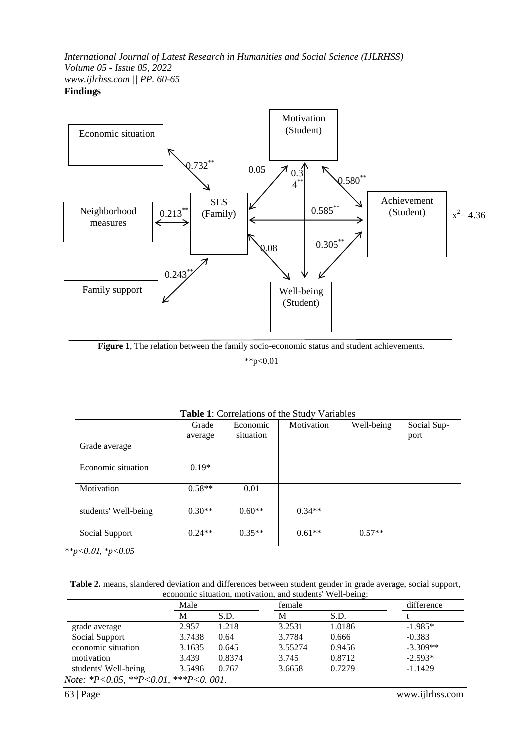## *International Journal of Latest Research in Humanities and Social Science (IJLRHSS) Volume 05 - Issue 05, 2022*

*www.ijlrhss.com || PP. 60-65*

### **Findings**



**Figure 1**, The relation between the family socio-economic status and student achievements.

\*\*p<0.01

|                      | Grade    | Economic  | Motivation | Well-being | Social Sup- |
|----------------------|----------|-----------|------------|------------|-------------|
|                      | average  | situation |            |            | port        |
| Grade average        |          |           |            |            |             |
| Economic situation   | $0.19*$  |           |            |            |             |
| Motivation           | $0.58**$ | 0.01      |            |            |             |
| students' Well-being | $0.30**$ | $0.60**$  | $0.34**$   |            |             |
| Social Support       | $0.24**$ | $0.35**$  | $0.61**$   | $0.57**$   |             |

**Table 1**: Correlations of the Study Variables

*\*\*p<0.*01*, \*p<0.05*

| Table 2. means, slandered deviation and differences between student gender in grade average, social support, |  |
|--------------------------------------------------------------------------------------------------------------|--|
| economic situation, motivation, and students' Well-being:                                                    |  |

|                      | Male   |        |         | female |            |
|----------------------|--------|--------|---------|--------|------------|
|                      | М      | S.D.   | M       | S.D.   |            |
| grade average        | 2.957  | 1.218  | 3.2531  | 1.0186 | $-1.985*$  |
| Social Support       | 3.7438 | 0.64   | 3.7784  | 0.666  | $-0.383$   |
| economic situation   | 3.1635 | 0.645  | 3.55274 | 0.9456 | $-3.309**$ |
| motivation           | 3.439  | 0.8374 | 3.745   | 0.8712 | $-2.593*$  |
| students' Well-being | 3.5496 | 0.767  | 3.6658  | 0.7279 | $-1.1429$  |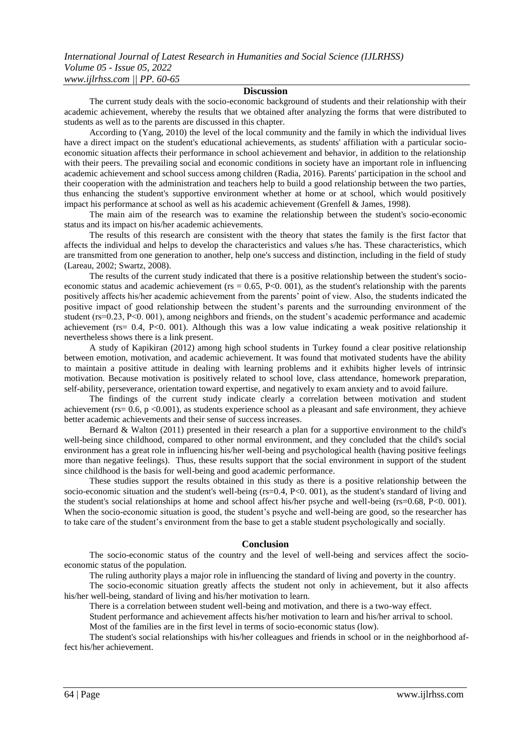#### **Discussion**

The current study deals with the socio-economic background of students and their relationship with their academic achievement, whereby the results that we obtained after analyzing the forms that were distributed to students as well as to the parents are discussed in this chapter.

According to (Yang, 2010) the level of the local community and the family in which the individual lives have a direct impact on the student's educational achievements, as students' affiliation with a particular socioeconomic situation affects their performance in school achievement and behavior, in addition to the relationship with their peers. The prevailing social and economic conditions in society have an important role in influencing academic achievement and school success among children (Radia, 2016). Parents' participation in the school and their cooperation with the administration and teachers help to build a good relationship between the two parties, thus enhancing the student's supportive environment whether at home or at school, which would positively impact his performance at school as well as his academic achievement (Grenfell & James, 1998).

The main aim of the research was to examine the relationship between the student's socio-economic status and its impact on his/her academic achievements.

The results of this research are consistent with the theory that states the family is the first factor that affects the individual and helps to develop the characteristics and values s/he has. These characteristics, which are transmitted from one generation to another, help one's success and distinction, including in the field of study (Lareau, 2002; Swartz, 2008).

The results of the current study indicated that there is a positive relationship between the student's socioeconomic status and academic achievement ( $rs = 0.65$ ,  $P < 0.001$ ), as the student's relationship with the parents positively affects his/her academic achievement from the parents' point of view. Also, the students indicated the positive impact of good relationship between the student's parents and the surrounding environment of the student (rs=0.23, P<0. 001), among neighbors and friends, on the student's academic performance and academic achievement ( $rs = 0.4$ ,  $P < 0.001$ ). Although this was a low value indicating a weak positive relationship it nevertheless shows there is a link present.

A study of Kapikiran (2012) among high school students in Turkey found a clear positive relationship between emotion, motivation, and academic achievement. It was found that motivated students have the ability to maintain a positive attitude in dealing with learning problems and it exhibits higher levels of intrinsic motivation. Because motivation is positively related to school love, class attendance, homework preparation, self-ability, perseverance, orientation toward expertise, and negatively to exam anxiety and to avoid failure.

The findings of the current study indicate clearly a correlation between motivation and student achievement ( $rs = 0.6$ ,  $p \le 0.001$ ), as students experience school as a pleasant and safe environment, they achieve better academic achievements and their sense of success increases.

Bernard & Walton (2011) presented in their research a plan for a supportive environment to the child's well-being since childhood, compared to other normal environment, and they concluded that the child's social environment has a great role in influencing his/her well-being and psychological health (having positive feelings more than negative feelings). Thus, these results support that the social environment in support of the student since childhood is the basis for well-being and good academic performance.

These studies support the results obtained in this study as there is a positive relationship between the socio-economic situation and the student's well-being (rs=0.4, P<0. 001), as the student's standard of living and the student's social relationships at home and school affect his/her psyche and well-being (rs=0.68, P<0. 001). When the socio-economic situation is good, the student's psyche and well-being are good, so the researcher has to take care of the student's environment from the base to get a stable student psychologically and socially.

#### **Conclusion**

The socio-economic status of the country and the level of well-being and services affect the socioeconomic status of the population.

The ruling authority plays a major role in influencing the standard of living and poverty in the country.

The socio-economic situation greatly affects the student not only in achievement, but it also affects his/her well-being, standard of living and his/her motivation to learn.

There is a correlation between student well-being and motivation, and there is a two-way effect.

Student performance and achievement affects his/her motivation to learn and his/her arrival to school.

Most of the families are in the first level in terms of socio-economic status (low).

The student's social relationships with his/her colleagues and friends in school or in the neighborhood affect his/her achievement.